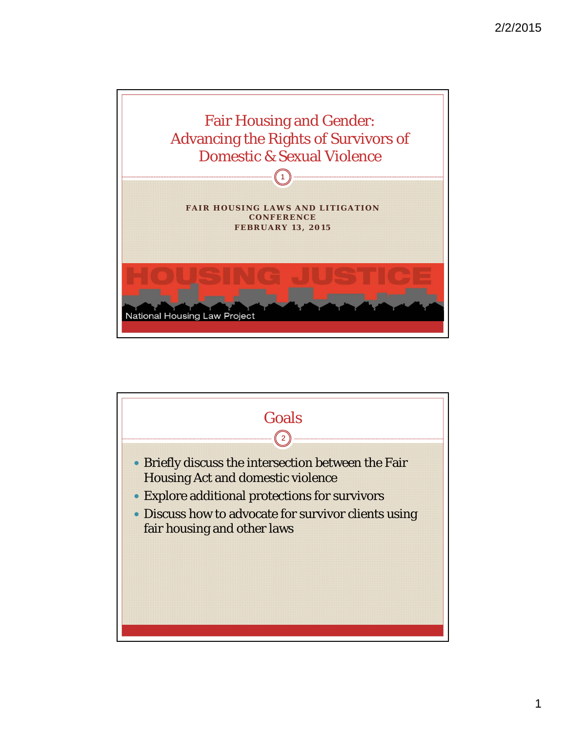

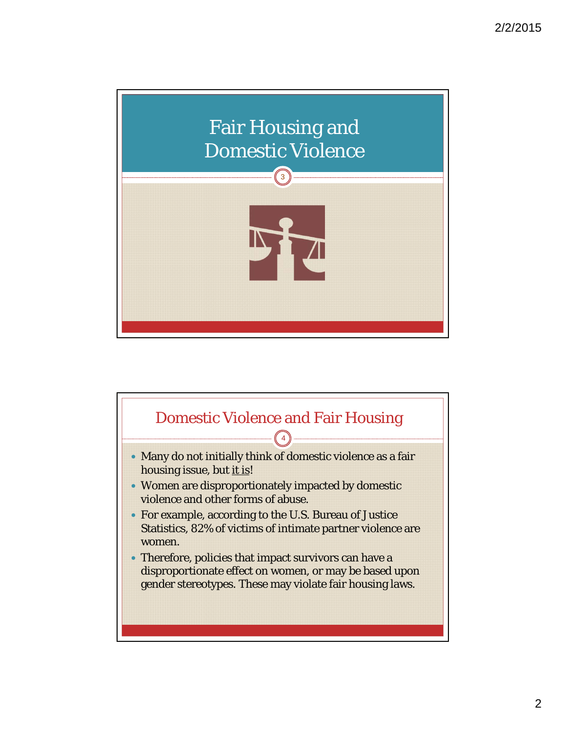

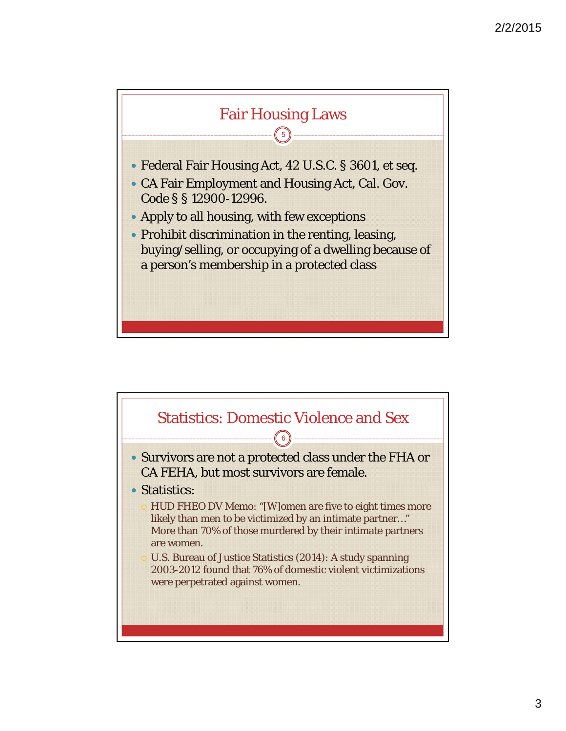

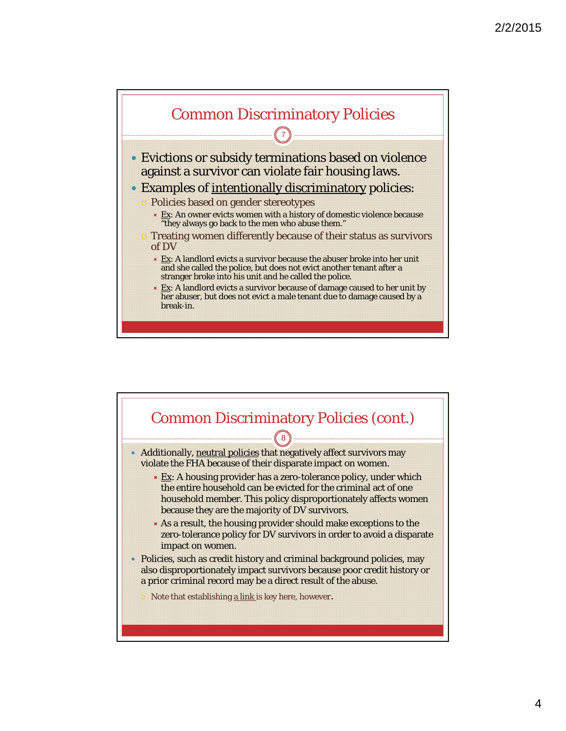

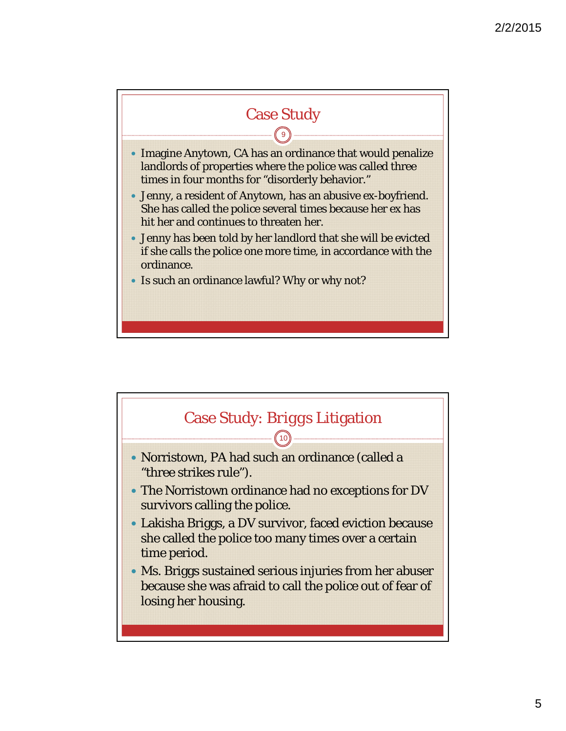

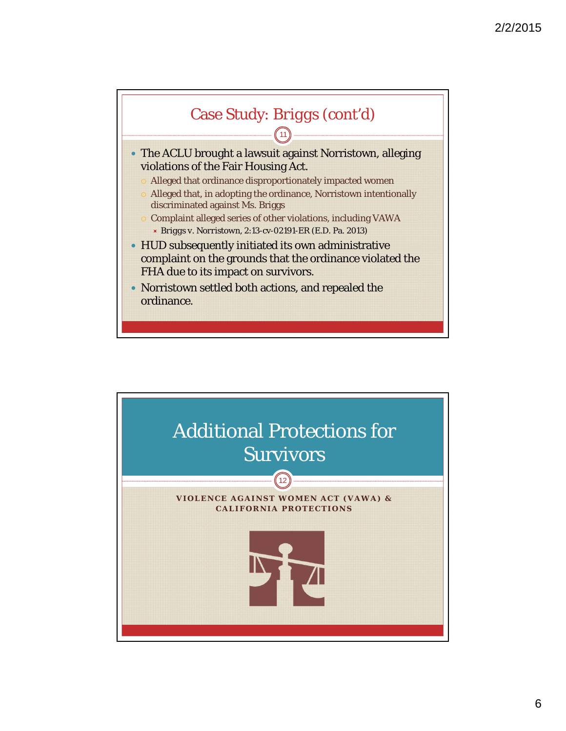

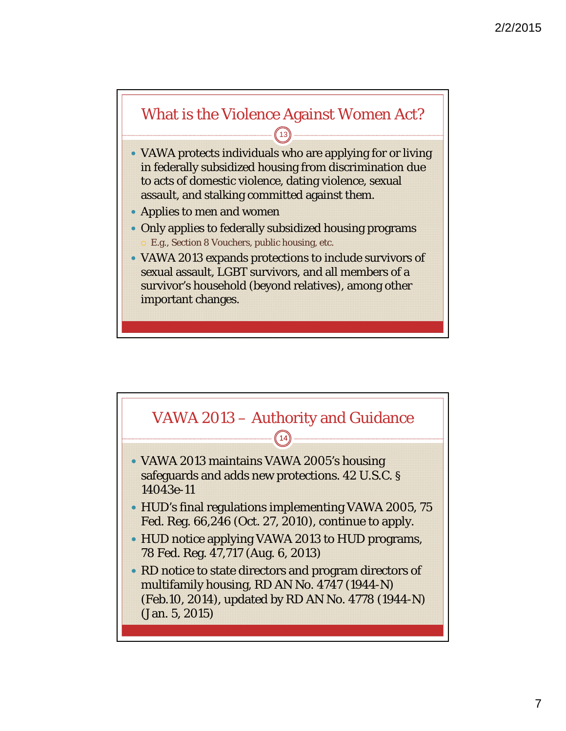## What is the Violence Against Women Act?  $(13)$

- VAWA protects individuals who are applying for or living in federally subsidized housing from discrimination due to acts of domestic violence, dating violence, sexual assault, and stalking committed against them.
- Applies to men and women
- Only applies to federally subsidized housing programs E.g., Section 8 Vouchers, public housing, etc.
- VAWA 2013 expands protections to include survivors of sexual assault, LGBT survivors, and all members of a survivor's household (beyond relatives), among other important changes.

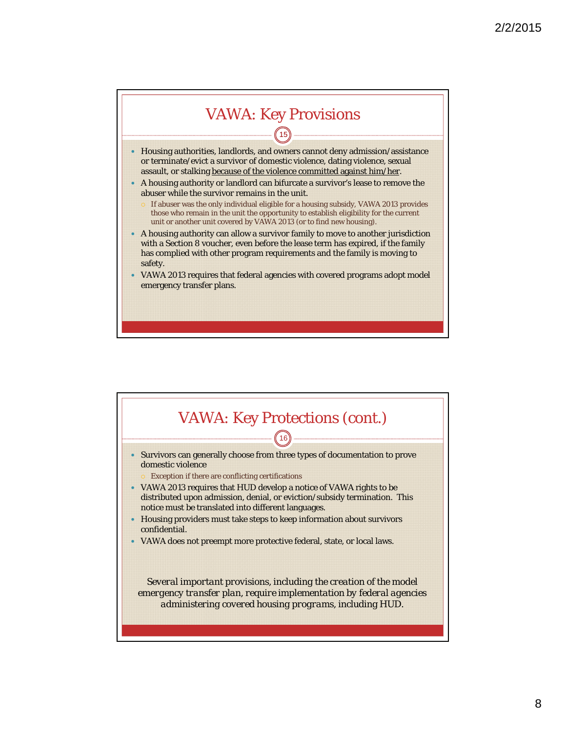

- Housing authorities, landlords, and owners cannot deny admission/assistance or terminate/evict a survivor of domestic violence, dating violence, sexual assault, or stalking because of the violence committed against him/her.
- A housing authority or landlord can bifurcate a survivor's lease to remove the abuser while the survivor remains in the unit.
	- If abuser was the only individual eligible for a housing subsidy, VAWA 2013 provides those who remain in the unit the opportunity to establish eligibility for the current unit or another unit covered by VAWA 2013 (or to find new housing).
- A housing authority can allow a survivor family to move to another jurisdiction with a Section 8 voucher, even before the lease term has expired, if the family has complied with other program requirements and the family is moving to safety.
- VAWA 2013 requires that federal agencies with covered programs adopt model emergency transfer plans.

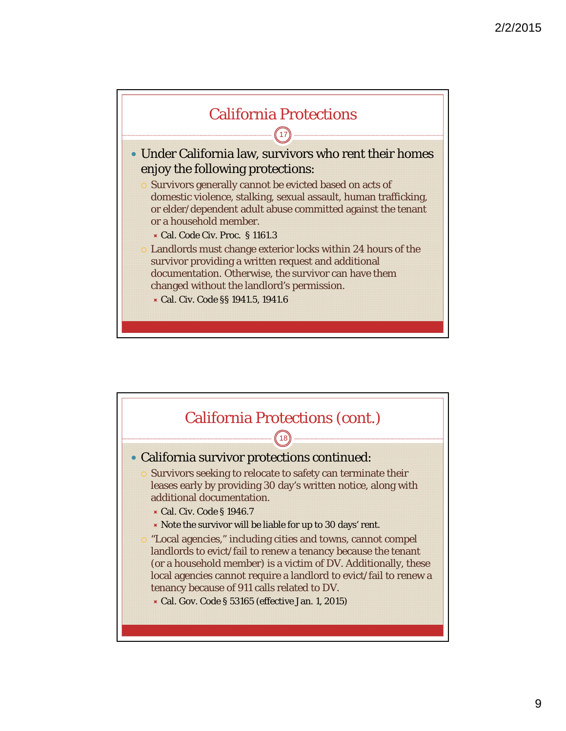

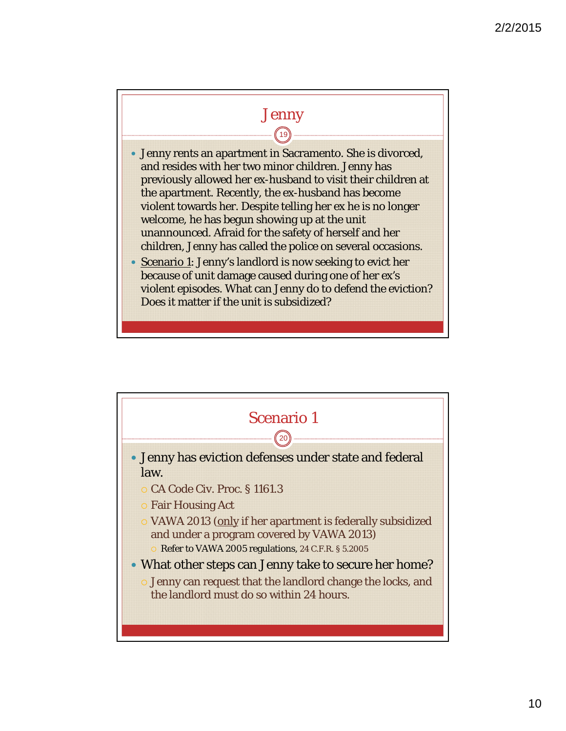## Jenny  $\textcircled{\scriptsize{19}}$

- Jenny rents an apartment in Sacramento. She is divorced, and resides with her two minor children. Jenny has previously allowed her ex-husband to visit their children at the apartment. Recently, the ex-husband has become violent towards her. Despite telling her ex he is no longer welcome, he has begun showing up at the unit unannounced. Afraid for the safety of herself and her children, Jenny has called the police on several occasions.
- Scenario 1: Jenny's landlord is now seeking to evict her because of unit damage caused during one of her ex's violent episodes. What can Jenny do to defend the eviction? Does it matter if the unit is subsidized?

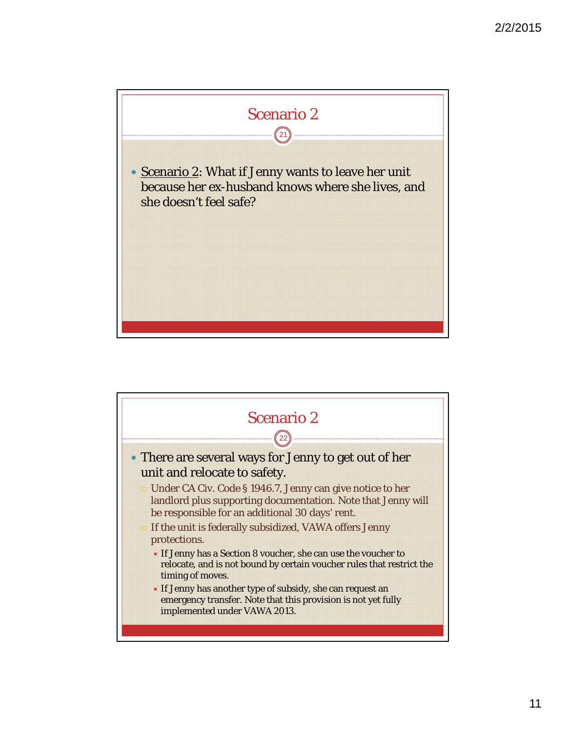

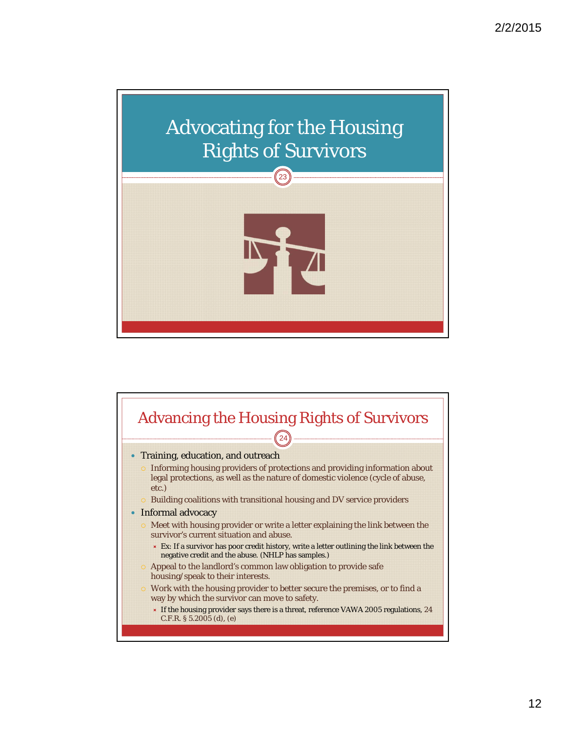

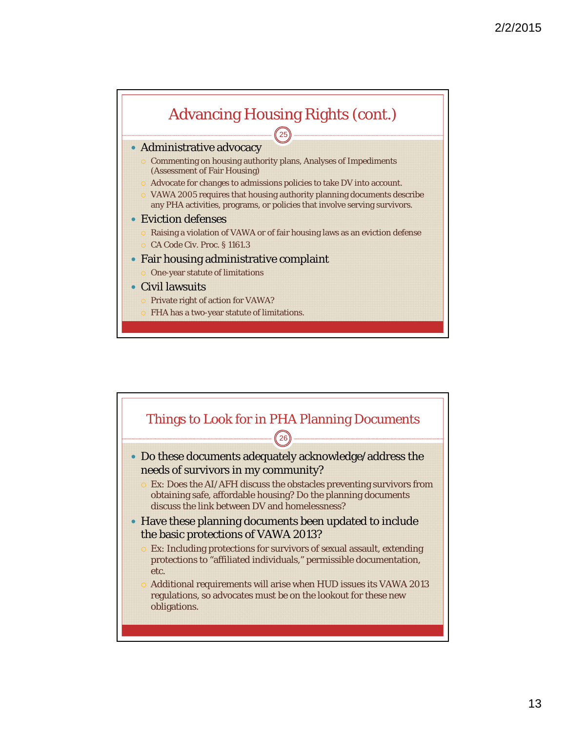